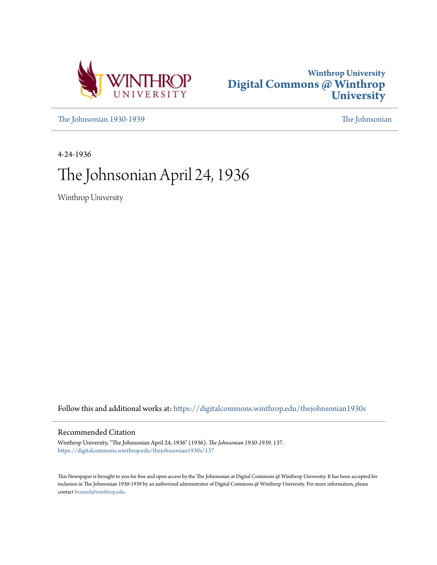



[The Johnsonian 1930-1939](https://digitalcommons.winthrop.edu/thejohnsonian1930s?utm_source=digitalcommons.winthrop.edu%2Fthejohnsonian1930s%2F137&utm_medium=PDF&utm_campaign=PDFCoverPages) [The Johnsonian](https://digitalcommons.winthrop.edu/thejohnsonian_newspaper?utm_source=digitalcommons.winthrop.edu%2Fthejohnsonian1930s%2F137&utm_medium=PDF&utm_campaign=PDFCoverPages)

4-24-1936

# The Johnsonian April 24, 1936

Winthrop University

Follow this and additional works at: [https://digitalcommons.winthrop.edu/thejohnsonian1930s](https://digitalcommons.winthrop.edu/thejohnsonian1930s?utm_source=digitalcommons.winthrop.edu%2Fthejohnsonian1930s%2F137&utm_medium=PDF&utm_campaign=PDFCoverPages)

### Recommended Citation

Winthrop University, "The Johnsonian April 24, 1936" (1936). *The Johnsonian 1930-1939*. 137. [https://digitalcommons.winthrop.edu/thejohnsonian1930s/137](https://digitalcommons.winthrop.edu/thejohnsonian1930s/137?utm_source=digitalcommons.winthrop.edu%2Fthejohnsonian1930s%2F137&utm_medium=PDF&utm_campaign=PDFCoverPages)

This Newspaper is brought to you for free and open access by the The Johnsonian at Digital Commons @ Winthrop University. It has been accepted for inclusion in The Johnsonian 1930-1939 by an authorized administrator of Digital Commons @ Winthrop University. For more information, please contact [bramed@winthrop.edu](mailto:bramed@winthrop.edu).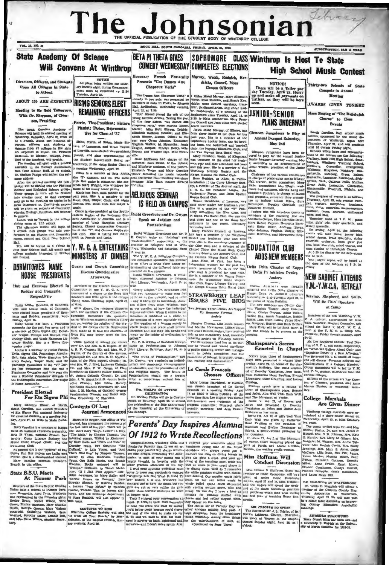# Tebrass The Johnsonian E OFFICIAL PUBLICATION OF

ROCK HILL, SOUTH CAROLINA, FRIDAY, APRIL 24, 1922

SUBSCRIPTION, SLM A YEAR SOPHOMORE CLASS Winthrop Is Host To State **State Academy Of Science BETA PI THETA GIVES COMEDY WEDNESDAY COMPLETES ELECTIONS Will Convene At Winthrop High School Music Contest** Honorary French Fraternity Murray, Welsh, Rudnick, Ker NOTICE Directors, Officers, and Students All plays being written for Literary Society night during Commence-<br>ment must be submitted  $\cdot$ y 12:20<br>Tuesday, April 28. Presents "Ces Dames Aux dricks, Gosnell, Moss NOTICE! Chapeaux Verts" From All Colleges in State Chosen Officers There will be a Tatler pay<br>day Tuesday, April 28. Hurry<br>up and make all payments on<br>Tatlers, as they will be here Chosen Officers<br>
<br>
A Real Marmin Particular Theorem and Taxabel April 28. Harry<br>
py Weblin, Rose Rudnick, and Manuje Ken, 1911 and make all payments on<br>
n drick were cleed secreting, as the solid Ramin Ken, 1911 and the s Compete in Annual to Attend Cea Dames Aux Chapeaux Verta," and y in two acts, was presented by mbers of Beta Pi Theta, in Johnson Meeting "Ces Dames Avy Cha-ABOUT 100 ARE EXPECTED RISING SENIORS ELECT **AWARDS GIVEN TONIGHT** Meeting to Be Held Tomorrow. Mass Singing of "The Hallelujah With Dr. Sherman, of Clem-Chorus" to Close son, Presiding Events The South Carolina Academy of<br>clence will hold its snmsal meeting at<br>Vinthrop, Saturday, April 25, from 10 The Bouth Garolina Académy of Scheme will hold its annual meeting at the Which<br>reps. seturation of the scheme of the control of the control of the<br>seturation of the control of the control of the control of Scheme from all  $\begin{minipage}[t]{.5em} \textbf{South Carvilinear} & \textbf{Right} \textbf{ school} \textbf{rm} \\ \textbf{syntmeter} & \textbf{path} \textbf{echo} \\ \textbf{partment} & \textbf{of Winkony, began hypertment} \\ \textbf{firstment} & \textbf{of Winkony, began having unlin 124, and will column 110 cells with same sent representing the 100 levels which have sent the following: 100 levels with a 100 levels. The 100 levels of 10000, 10000, 10000, 10000, 10000, 10000, 10000, 10000, 10000,$ planiat, and class representative on **Wile.**<br>
The Suite McKeown had charge of the Suite McKeown had charge of the Suite<br>
1980 coverament Bord, re- Suite McKeown had charge of the spectrocy, of the riding Senior Class at c planist, and class representative on ville.<br>the Student Government Board ra. Susle McKeown had charge of the of the Academy, will preside.<br>
meeting will open with a general<br>
hly in the Biology Auditorium<br>
Noor Science Hall, at 10 o'clock<br>
selton Phelps will deliver the wel-The n  $r = r$  $\sum_{n=1}^{\infty}$  $A$ gation will be dieled into the Physics of Science and Blooks<br>disc the Physics proposed in turn will be divided into a<br>maller ones; so that everyones These groups in turn will be divided<br>may go to the meetings on topics he come accress.<br>After the general meeting the dele-<br>gation will be divided into the Physical mey ammust once; so thus everyone may go to the meetings on topics he is<br>most interested in. Twenty-six papers<br>will be given on subjects of Chemistry.<br>Physics, Blology, Nutrition, and Science Fute, wishin, contraths, transposed, the<br>matterns, teaming a mattern and the state and has velocity and the<br>state and has velocity and the state and the state and has state and the<br>state and the state and the state of the mule.<br>  $\Box$  music approximation of the Southeastern Region of the Euchern of the Linder<br>
dent Association of America, and is a member of Wade Hampton Literary<br>
member of Wade Hampton Literary<br>  $\Box$  Society, Church Coopera Etizabeth Mittelli,<br>
announce and the receiving line are and the receiving line are all introduce guests to<br>
members of the receiving lines are Mary Burndin Davis,<br>
Mary Burndin (Payram, Rennetta Barn-<br>
well, Katte Coher, Rabbi Greenburg and Dr. Gwyn n general.<br>Lunch will be served in the college Speak on Judaism and Lunch will be served in<br>dining room at 1:15 c'elock.<br>The afternoon session will begin at<br>2 c'elock. Sub groups will hold con-<br>ferences in the Physics and Chemistry<br>rooms, second and third floor Science Protestantism wammung meet.<br>Mary Frances Closnell, of Lauren Rabbi William Greenburg and Dr. P.<br>I. Owynn spoke on "Judnism" und<br>Protestantism." respectively, at the<br>feminar on Religions held at Win-<br>hrop. Wednesday and Saturday, April has been a member of the Winthrop<br>Sextet her freshman year and this<br>year. She is the secretary-treasurer of - 11 Var. Since is the secretary-treasurer of the Cite Club and a member of the Chapel Choir, the Music Club, Ourry<br>Litteriny Society, the Archery Club, and<br>Litteriny Society, the Archery Club, and<br>Learn Manna Kappa Social Club Ten will be served at 4 o'clock in Y. W. C. A. ENTERTAINS **EDUCATION CLUB**  $first<sub>n</sub>$ ge saudents interested in Science **MINISTERS AT BINNER ADDS NEW MEMBERS** ore invited.

**Discuss Questionnaire HOUSE PRESIDENTS** 

and Heustess Elected In Members of the Clurch C Roddey and Breazeale.

Ruby Louise Heustess, of Benretts-<br>De, and Louise Hall, of Columbia.<br>The elected house presidents of Breaken<br>ale and Roddey, respectively, Wed-<br>stay Louise has been a Freshman supply<br>Ruby Louise has been a Freshman<br>unably

Foulse has been a Freshman<br>or for the past two years and is<br>there of Delta Bigma Chi, Debatten<br>signe, Porceps and Scalpel, Pay-<br>gChib, and Wade Hampton Lit-<br>society. She is a Home Roo-<br>contraction membe

DORMITORIES NAME

Respectively

VOL. 11, NO. 28

a major.<br>Salgma Chi, Psychology Associa-<br>Sigma Chi, Psychology Associa-<br>Zeta Alpha, Wade Hampton Lit-Society, Vespar Chokr, and the<br>nge Committes of the "Y." Durta Si **TR. Zeta** Al rary 60 ge Committes of the "x," Dur-<br>r sophomore year she was a<br>an Counselor and this year she<br>Student Volunteers' delegats to ing her<br>Preshme as a Stud inapolis Convention. Her major  $m<sub>e</sub>$ 

### mt Elected For Eta Sigma Phi

Mary Caroline Ulmer, of North,<br>Exis Rigma Fhi, unional fractions<br>Exis Rigma Fhi, unional fraternity<br>or classical students, at a meeting Fri-<br>ty, April 17, at 13:30 in Main Build-

Guests and Church Committee Afterwards

"Every religion." Dr. Or

o'clock.<br>"The fruits of Protestas

gether.

of the for

Committee of the Y. W. C. A. when<br>the straight in the Y. W. C. A. when<br>instrusses at a dinner to the Rock Hill<br>ministers and their wives in the college dining room. Thursday night, April 23 at 8:30.

"Every religion," Dr. Greenburg said, "has two functions----to make man fred<br>at h.c.m. in the universe, and to offer a way of salvation to individuals, Juda-<br>at heat in the universe, and to offer a term offer remove the p After dinner, the ministers discu Atter aimer, the ministers dis<br>with the members of the Chure<br>operation Committee the qui<br>naires Winthrop students recently rch Co but a state of the state of the state of the state of the state of the state of the creation of a more equitable word, to the creation of a human society in which justice and peace shall prevail. The creation of the creat the **Filled** out co. seming the relation of the stuwere made as to how the churches of Rock Hill may better scrve the stu-

dents. Those invited to actend the dinner sere Dr. and M'm. A. S. Rogers, of the<br>A. R. P. Church; Mr. and Mrs. W. P.<br>Peyton, of the Church of Our Saviour, Peyton, of the Church of Our Saviour<br>Episcopal; Dr. and Mrs. R. H. MacParzpuecipus; Lr. and Bark IS. H. Machenhall<br>and Mrs. W. J. Roof, Lutheran Church;<br>Dr. and Mrs. W. J. Roof, Lutheran Church;<br>Dr. and Mrs. F. W. Gregg, of Pirst Presbyterian Church; Father Ernes., of 8'. Anne's Catholic Church; Dr. and Mrs. J. W. Shackford, St. John's Meth odist Church: Mrs. Reese Marsey, Methodist Bludent Secretary; Mr. and<br>Mrs. J. H. Marion, of Oakland Avenue

Presbyterian Church; and Rabbi William Greenburg, of Charlotte.

## **Contents Of Last**

She is a member of the Youn Glee Club, Curry Liferary Society, and<br>the Omega Gamma Delta Social Club,

 $[$  Dimples Thomas, Lilla Bush, nuncey, Lilla Bush, nuncey, and Morthin May:<br>1, and Jorell Besson, seniors, have received block to the Birnsberry Lead, bushes<br>of debaling modely on Wishlrey computations. The Structure<br>17 ads and and Jenett B march up the ladder of civilization to

urer.<br>Dr. P. H. Gwynn of Davidson College spoke on Protestantian in Johnson pose to "record<br>Hall Library, Saturday, April 16, at 5 in public speak! nt in public assembl promotion of int est in cout

The fruits of Processination.<br>
The Taurus of Processination of the results and definition<br>
unlimit and democratic, recommended in the contraction<br>
of education, and the promotion of civil<br>  $\Gamma$ <br>  $\Gamma$  and definition<br>
of ed

Chooses Officers Louise Ratchford, of Carlisle,

Iterator.<br>
DE. FRIELPS TO ATTEND<br>
Dr. Shelton Phelps will go to Cratter<br>
nooga on Seturator April 29, to steer<br>
the celebration of the Chair anniversary<br>
of the founding of the University of

**Early Grains then a lively contents virtually and the effect of the state in the state of the state in the state in the state of the state in the state of the state in the state in the state in the state in the state in** 

Delta Delta Chapter of Kappa Delta Pi Initiates Twelve Juniors

meeting

# Shakespeare's Scenes

 $\begin{tabular}{ll} \textbf{...} \\ \textbf{...} \\ \textbf{phys were presented in charge}\\ \textbf{phys were presented in charge)} \\ \textbf{max} \\ \textbf{...} \\ \textbf{and} \\ \textbf{...} \\ \textbf{...} \\ \textbf{...} \\ \textbf{...} \\ \textbf{...} \\ \textbf{...} \\ \textbf{...} \\ \textbf{...} \\ \textbf{...} \\ \textbf{...} \\ \textbf{...} \\ \textbf{...} \\ \textbf{...} \\ \textbf{...} \\ \textbf{...} \\ \textbf{...} \\ \textbf{...} \\ \textbf{...} \\ \textbf{...} \\ \textbf{...} \\ \textbf{...} \\ \textbf{...} \\ \text$ 

Limethow, Gare Grammar, and Louis Common of Clemaco, president, and American Louis Prance Louis parts are resume of Marion Busines, of Winkhrep, accredition of Blacks, Allya Vell That Ends Well, and Julie Merican United S

Thirty-two Schools of State

th Carolina bigh school my

### **NEW CABINET ATTENDS** Y.M.-Y.W.C.A. RETREAT

Deering, Shepherd, and Smith Will Be Chief Speakers

at Camp

rs of the new Wintl C. A. cubinet, accompanied by Miss C. A. cabinet, accompanied by Eliza Wardlaw, Student Counselor neet at the Y. M. C. A. Canve Columbia, Priday though Sunday, Andl 24-26

Accepts Scenes Mr. Lee Bhepherd and Mr. Paul Der.<br>
Mr. Lee Bhepherd and Mr. Paul Der.<br>
Enacted In Chapel on "What We Believe About God," and on "Want We Belleve about God," and The Reversion Company The Reversion Mathematics and the state of a state of a company of a Company of a Company Company Company Company Company Company Company of the left by Y. M. Compa

DR. MAGGINIS IN WALTERBORO  $\begin{tabular}{|c|c|} \hline \multicolumn{1}{|c|}{\textbf{F}} & \multicolumn{1}{|c|}{\textbf{W}} & \multicolumn{1}{|c|}{\textbf{W}} & \multicolumn{1}{|c|}{\textbf{W}} & \multicolumn{1}{|c|}{\textbf{W}} & \multicolumn{1}{|c|}{\textbf{W}} & \multicolumn{1}{|c|}{\textbf{W}} & \multicolumn{1}{|c|}{\textbf{W}} & \multicolumn{1}{|c|}{\textbf{W}} & \multicolumn{1}{|c|}{\textbf{W}} & \multicolumn{1}{|c|}{\textbf{W}} & \multicolumn{1}{$ 

AWARDED FELLOWSHIP<br>Mary Stuart Mills har been awa<br>a fellowship in English at the Unity of North Carolina for 1935-37

was chosen president of Le Cercle<br>was chosen president of Le Cercle<br>Francis at a meeting Friday April<br>17. at 12:30 in Mala Bullding. At the<br>same line Bara Lee Hughes was elected<br>view-president and chairman of the<br>propram c

for the

Two Juniors, Three Leniurs Are Tapper<br>By Honorary Forenaic

STRAWBERRY LEAF<br>ISSUES FIVE BIDS

Johnsonian reporter epurter for the past two<br>rer of U, D, G, for this enrs, treasu car, and is presi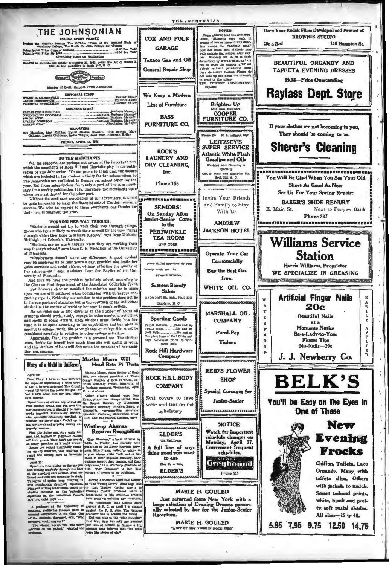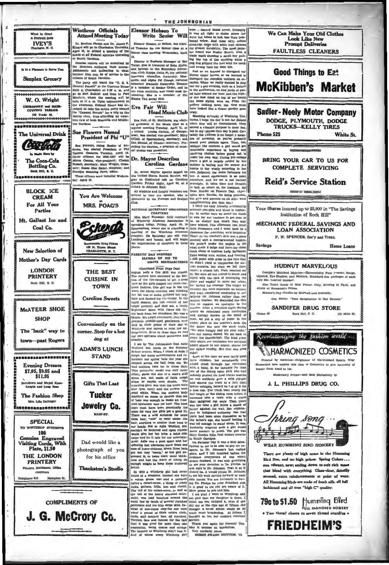

THE JOHNSONIAN